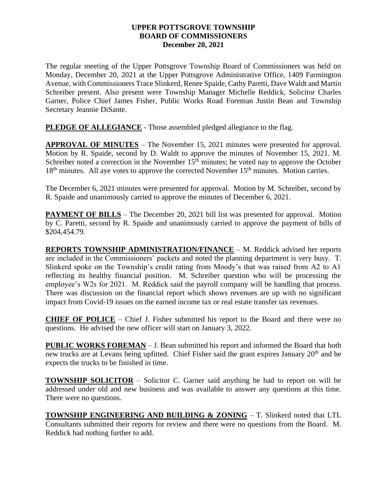## **UPPER POTTSGROVE TOWNSHIP BOARD OF COMMISSIONERS December 20, 2021**

The regular meeting of the Upper Pottsgrove Township Board of Commissioners was held on Monday, December 20, 2021 at the Upper Pottsgrove Administrative Office, 1409 Farmington Avenue, with Commissioners Trace Slinkerd, Renee Spaide, Cathy Paretti, Dave Waldt and Martin Schreiber present. Also present were Township Manager Michelle Reddick, Solicitor Charles Garner, Police Chief James Fisher, Public Works Road Foreman Justin Bean and Township Secretary Jeannie DiSante.

**PLEDGE OF ALLEGIANCE** - Those assembled pledged allegiance to the flag.

**APPROVAL OF MINUTES** – The November 15, 2021 minutes were presented for approval. Motion by R. Spaide, second by D. Waldt to approve the minutes of November 15, 2021. M. Schreiber noted a correction in the November  $15<sup>th</sup>$  minutes; he voted nay to approve the October 18<sup>th</sup> minutes. All aye votes to approve the corrected November 15<sup>th</sup> minutes. Motion carries.

The December 6, 2021 minutes were presented for approval. Motion by M. Schreiber, second by R. Spaide and unanimously carried to approve the minutes of December 6, 2021.

**PAYMENT OF BILLS** – The December 20, 2021 bill list was presented for approval. Motion by C. Paretti, second by R. Spaide and unanimously carried to approve the payment of bills of \$204,454.79.

**REPORTS TOWNSHIP ADMINISTRATION/FINANCE** – M. Reddick advised her reports are included in the Commissioners' packets and noted the planning department is very busy. T. Slinkerd spoke on the Township's credit rating from Moody's that was raised from A2 to A1 reflecting its healthy financial position. M. Schreiber question who will be processing the employee's W2s for 2021. M. Reddick said the payroll company will be handling that process. There was discussion on the financial report which shows revenues are up with no significant impact from Covid-19 issues on the earned income tax or real estate transfer tax revenues.

**CHIEF OF POLICE** – Chief J. Fisher submitted his report to the Board and there were no questions. He advised the new officer will start on January 3, 2022.

**PUBLIC WORKS FOREMAN** – J. Bean submitted his report and informed the Board that both new trucks are at Levans being upfitted. Chief Fisher said the grant expires January 20<sup>th</sup> and he expects the trucks to be finished in time.

**TOWNSHIP SOLICITOR** – Solicitor C. Garner said anything he had to report on will be addressed under old and new business and was available to answer any questions at this time. There were no questions.

**TOWNSHIP ENGINEERING AND BUILDING & ZONING** – T. Slinkerd noted that LTL Consultants submitted their reports for review and there were no questions from the Board. M. Reddick had nothing further to add.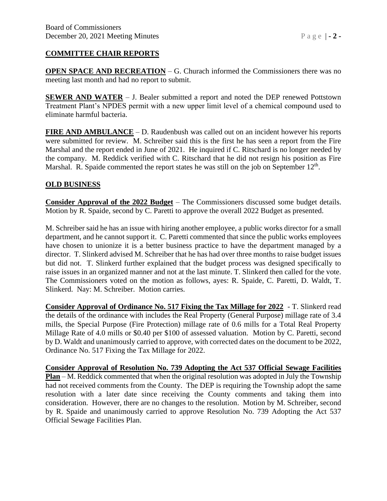# **COMMITTEE CHAIR REPORTS**

**OPEN SPACE AND RECREATION** – G. Churach informed the Commissioners there was no meeting last month and had no report to submit.

**SEWER AND WATER** – J. Bealer submitted a report and noted the DEP renewed Pottstown Treatment Plant's NPDES permit with a new upper limit level of a chemical compound used to eliminate harmful bacteria.

**FIRE AND AMBULANCE** – D. Raudenbush was called out on an incident however his reports were submitted for review. M. Schreiber said this is the first he has seen a report from the Fire Marshal and the report ended in June of 2021. He inquired if C. Ritschard is no longer needed by the company. M. Reddick verified with C. Ritschard that he did not resign his position as Fire Marshal. R. Spaide commented the report states he was still on the job on September  $12<sup>th</sup>$ .

# **OLD BUSINESS**

**Consider Approval of the 2022 Budget** – The Commissioners discussed some budget details. Motion by R. Spaide, second by C. Paretti to approve the overall 2022 Budget as presented.

M. Schreiber said he has an issue with hiring another employee, a public works director for a small department, and he cannot support it. C. Paretti commented that since the public works employees have chosen to unionize it is a better business practice to have the department managed by a director. T. Slinkerd advised M. Schreiber that he has had over three months to raise budget issues but did not. T. Slinkerd further explained that the budget process was designed specifically to raise issues in an organized manner and not at the last minute. T. Slinkerd then called for the vote. The Commissioners voted on the motion as follows, ayes: R. Spaide, C. Paretti, D. Waldt, T. Slinkerd. Nay: M. Schreiber. Motion carries.

**Consider Approval of Ordinance No. 517 Fixing the Tax Millage for 2022** - T. Slinkerd read the details of the ordinance with includes the Real Property (General Purpose) millage rate of 3.4 mills, the Special Purpose (Fire Protection) millage rate of 0.6 mills for a Total Real Property Millage Rate of 4.0 mills or \$0.40 per \$100 of assessed valuation. Motion by C. Paretti, second by D. Waldt and unanimously carried to approve, with corrected dates on the document to be 2022, Ordinance No. 517 Fixing the Tax Millage for 2022.

**Consider Approval of Resolution No. 739 Adopting the Act 537 Official Sewage Facilities Plan** – M. Reddick commented that when the original resolution was adopted in July the Township had not received comments from the County. The DEP is requiring the Township adopt the same resolution with a later date since receiving the County comments and taking them into consideration. However, there are no changes to the resolution. Motion by M. Schreiber, second by R. Spaide and unanimously carried to approve Resolution No. 739 Adopting the Act 537 Official Sewage Facilities Plan.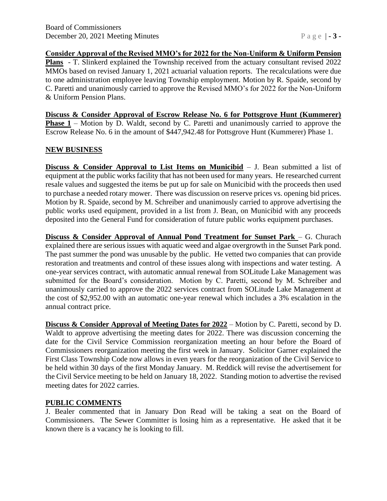#### **Consider Approval of the Revised MMO's for 2022 for the Non-Uniform & Uniform Pension**

**Plans** - T. Slinkerd explained the Township received from the actuary consultant revised 2022 MMOs based on revised January 1, 2021 actuarial valuation reports. The recalculations were due to one administration employee leaving Township employment. Motion by R. Spaide, second by C. Paretti and unanimously carried to approve the Revised MMO's for 2022 for the Non-Uniform & Uniform Pension Plans.

**Discuss & Consider Approval of Escrow Release No. 6 for Pottsgrove Hunt (Kummerer) Phase 1** – Motion by D. Waldt, second by C. Paretti and unanimously carried to approve the Escrow Release No. 6 in the amount of \$447,942.48 for Pottsgrove Hunt (Kummerer) Phase 1.

### **NEW BUSINESS**

**Discuss & Consider Approval to List Items on Municibid** – J. Bean submitted a list of equipment at the public works facility that has not been used for many years. He researched current resale values and suggested the items be put up for sale on Municibid with the proceeds then used to purchase a needed rotary mower. There was discussion on reserve prices vs. opening bid prices. Motion by R. Spaide, second by M. Schreiber and unanimously carried to approve advertising the public works used equipment, provided in a list from J. Bean, on Municibid with any proceeds deposited into the General Fund for consideration of future public works equipment purchases.

**Discuss & Consider Approval of Annual Pond Treatment for Sunset Park** – G. Churach explained there are serious issues with aquatic weed and algae overgrowth in the Sunset Park pond. The past summer the pond was unusable by the public. He vetted two companies that can provide restoration and treatments and control of these issues along with inspections and water testing. A one-year services contract, with automatic annual renewal from SOLitude Lake Management was submitted for the Board's consideration. Motion by C. Paretti, second by M. Schreiber and unanimously carried to approve the 2022 services contract from SOLitude Lake Management at the cost of \$2,952.00 with an automatic one-year renewal which includes a 3% escalation in the annual contract price.

**Discuss & Consider Approval of Meeting Dates for 2022** – Motion by C. Paretti, second by D. Waldt to approve advertising the meeting dates for 2022. There was discussion concerning the date for the Civil Service Commission reorganization meeting an hour before the Board of Commissioners reorganization meeting the first week in January. Solicitor Garner explained the First Class Township Code now allows in even years for the reorganization of the Civil Service to be held within 30 days of the first Monday January. M. Reddick will revise the advertisement for the Civil Service meeting to be held on January 18, 2022. Standing motion to advertise the revised meeting dates for 2022 carries.

### **PUBLIC COMMENTS**

J. Bealer commented that in January Don Read will be taking a seat on the Board of Commissioners. The Sewer Committer is losing him as a representative. He asked that it be known there is a vacancy he is looking to fill.